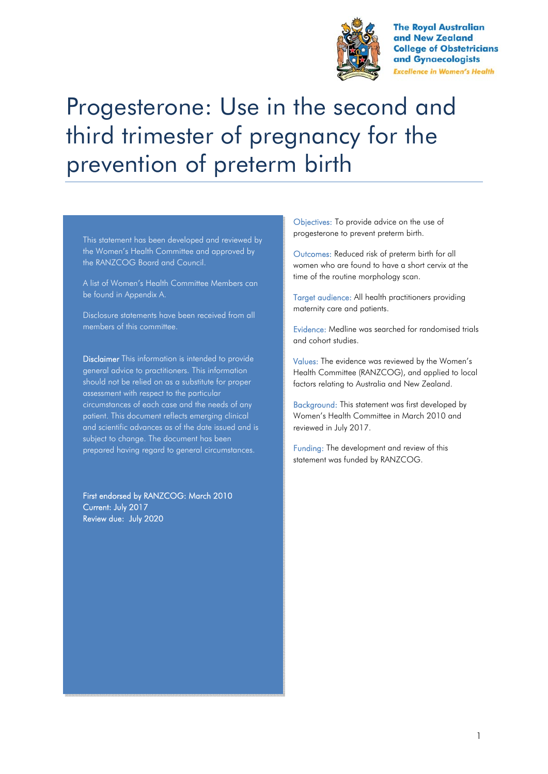

**The Royal Australian** and New Zealand **College of Obstetricians** and Gynaecologists **Excellence in Women's Health** 

# Progesterone: Use in the second and third trimester of pregnancy for the prevention of preterm birth

This statement has been developed and reviewed by the Women's Health Committee and approved by the RANZCOG Board and Council.

A list of Women's Health Committee Members can be found in Appendix A.

Disclosure statements have been received from all members of this committee.

Disclaimer This information is intended to provide general advice to practitioners. This information should not be relied on as a substitute for proper assessment with respect to the particular circumstances of each case and the needs of any patient. This document reflects emerging clinical and scientific advances as of the date issued and is subject to change. The document has been prepared having regard to general circumstances.

First endorsed by RANZCOG: March 2010 Current: July 2017 Review due: July 2020

Objectives: To provide advice on the use of progesterone to prevent preterm birth.

Outcomes: Reduced risk of preterm birth for all women who are found to have a short cervix at the time of the routine morphology scan.

Target audience: All health practitioners providing maternity care and patients.

Evidence: Medline was searched for randomised trials and cohort studies.

Values: The evidence was reviewed by the Women's Health Committee (RANZCOG), and applied to local factors relating to Australia and New Zealand.

Background: This statement was first developed by Women's Health Committee in March 2010 and reviewed in July 2017.

Funding: The development and review of this statement was funded by RANZCOG.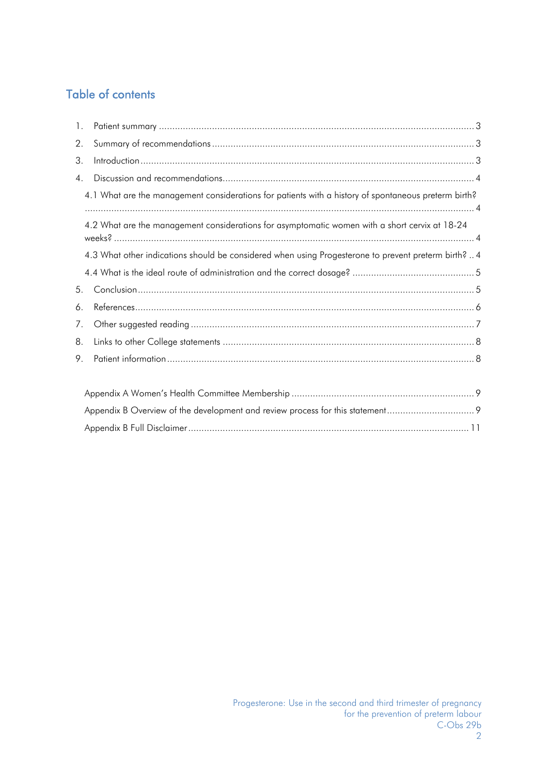# Table of contents

| $1_{\cdot}$                                                                                    |                                                                                                                                                                                                                                                                                                                                                   |  |  |  |
|------------------------------------------------------------------------------------------------|---------------------------------------------------------------------------------------------------------------------------------------------------------------------------------------------------------------------------------------------------------------------------------------------------------------------------------------------------|--|--|--|
| 2.                                                                                             |                                                                                                                                                                                                                                                                                                                                                   |  |  |  |
| 3.                                                                                             |                                                                                                                                                                                                                                                                                                                                                   |  |  |  |
| $4_{\cdot}$                                                                                    |                                                                                                                                                                                                                                                                                                                                                   |  |  |  |
|                                                                                                | 4.1 What are the management considerations for patients with a history of spontaneous preterm birth?                                                                                                                                                                                                                                              |  |  |  |
| 4.2 What are the management considerations for asymptomatic women with a short cervix at 18-24 |                                                                                                                                                                                                                                                                                                                                                   |  |  |  |
|                                                                                                | 4.3 What other indications should be considered when using Progesterone to prevent preterm birth?  4                                                                                                                                                                                                                                              |  |  |  |
|                                                                                                |                                                                                                                                                                                                                                                                                                                                                   |  |  |  |
| 5.                                                                                             |                                                                                                                                                                                                                                                                                                                                                   |  |  |  |
| 6.                                                                                             |                                                                                                                                                                                                                                                                                                                                                   |  |  |  |
| 7.                                                                                             |                                                                                                                                                                                                                                                                                                                                                   |  |  |  |
| 8.                                                                                             |                                                                                                                                                                                                                                                                                                                                                   |  |  |  |
| 9.                                                                                             |                                                                                                                                                                                                                                                                                                                                                   |  |  |  |
|                                                                                                | $\lambda$ and $\lambda$ and $\lambda$ and $\lambda$ is the state of $\lambda$ and $\lambda$ and $\lambda$ and $\lambda$ and $\lambda$ and $\lambda$ and $\lambda$ and $\lambda$ and $\lambda$ and $\lambda$ and $\lambda$ and $\lambda$ and $\lambda$ and $\lambda$ and $\lambda$ and $\lambda$ and $\lambda$ and $\lambda$ and $\lambda$ and $\$ |  |  |  |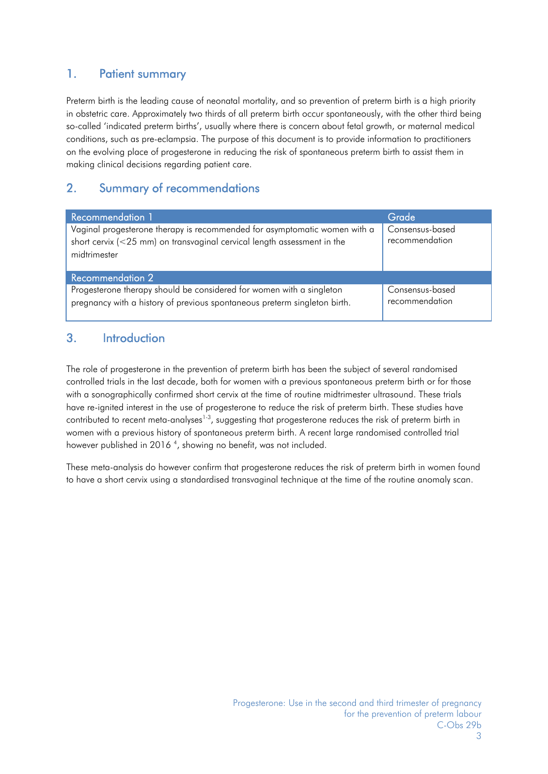## 1. Patient summary

Preterm birth is the leading cause of neonatal mortality, and so prevention of preterm birth is a high priority in obstetric care. Approximately two thirds of all preterm birth occur spontaneously, with the other third being so-called 'indicated preterm births', usually where there is concern about fetal growth, or maternal medical conditions, such as pre-eclampsia. The purpose of this document is to provide information to practitioners on the evolving place of progesterone in reducing the risk of spontaneous preterm birth to assist them in making clinical decisions regarding patient care.

## 2. Summary of recommendations

| Recommendation 1                                                                                                                                                        | Grade                             |  |  |  |  |
|-------------------------------------------------------------------------------------------------------------------------------------------------------------------------|-----------------------------------|--|--|--|--|
| Vaginal progesterone therapy is recommended for asymptomatic women with a<br>short cervix $(<$ 25 mm) on transvaginal cervical length assessment in the<br>midtrimester | Consensus-based<br>recommendation |  |  |  |  |
| <b>Recommendation 2</b>                                                                                                                                                 |                                   |  |  |  |  |
| Progesterone therapy should be considered for women with a singleton<br>pregnancy with a history of previous spontaneous preterm singleton birth.                       | Consensus-based<br>recommendation |  |  |  |  |

# 3. Introduction

The role of progesterone in the prevention of preterm birth has been the subject of several randomised controlled trials in the last decade, both for women with a previous spontaneous preterm birth or for those with a sonographically confirmed short cervix at the time of routine midtrimester ultrasound. These trials have re-ignited interest in the use of progesterone to reduce the risk of preterm birth. These studies have contributed to recent meta-analyses<sup>1-3</sup>, suggesting that progesterone reduces the risk of preterm birth in women with a previous history of spontaneous preterm birth. A recent large randomised controlled trial however published in 2016<sup>4</sup>, showing no benefit, was not included.

These meta-analysis do however confirm that progesterone reduces the risk of preterm birth in women found to have a short cervix using a standardised transvaginal technique at the time of the routine anomaly scan.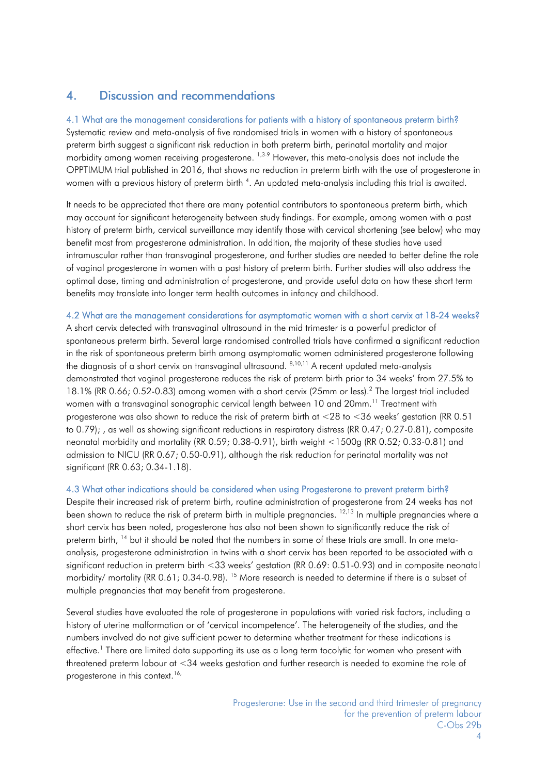## 4. Discussion and recommendations

#### 4.1 What are the management considerations for patients with a history of spontaneous preterm birth?

Systematic review and meta-analysis of five randomised trials in women with a history of spontaneous preterm birth suggest a significant risk reduction in both preterm birth, perinatal mortality and major morbidity among women receiving progesterone. <sup>1,3-9</sup> However, this meta-analysis does not include the OPPTIMUM trial published in 2016, that shows no reduction in preterm birth with the use of progesterone in women with a previous history of preterm birth <sup>4</sup>. An updated meta-analysis including this trial is awaited.

It needs to be appreciated that there are many potential contributors to spontaneous preterm birth, which may account for significant heterogeneity between study findings. For example, among women with a past history of preterm birth, cervical surveillance may identify those with cervical shortening (see below) who may benefit most from progesterone administration. In addition, the majority of these studies have used intramuscular rather than transvaginal progesterone, and further studies are needed to better define the role of vaginal progesterone in women with a past history of preterm birth. Further studies will also address the optimal dose, timing and administration of progesterone, and provide useful data on how these short term benefits may translate into longer term health outcomes in infancy and childhood.

4.2 What are the management considerations for asymptomatic women with a short cervix at 18-24 weeks? A short cervix detected with transvaginal ultrasound in the mid trimester is a powerful predictor of spontaneous preterm birth. Several large randomised controlled trials have confirmed a significant reduction in the risk of spontaneous preterm birth among asymptomatic women administered progesterone following the diagnosis of a short cervix on transvaginal ultrasound. 8,10,11 A recent updated meta-analysis demonstrated that vaginal progesterone reduces the risk of preterm birth prior to 34 weeks' from 27.5% to 18.1% (RR 0.66; 0.52-0.83) among women with a short cervix (25mm or less).2 The largest trial included women with a transvaginal sonographic cervical length between 10 and 20mm.<sup>11</sup> Treatment with progesterone was also shown to reduce the risk of preterm birth at <28 to <36 weeks' gestation (RR 0.51 to 0.79); , as well as showing significant reductions in respiratory distress (RR 0.47; 0.27-0.81), composite neonatal morbidity and mortality (RR 0.59; 0.38-0.91), birth weight <1500g (RR 0.52; 0.33-0.81) and admission to NICU (RR 0.67; 0.50-0.91), although the risk reduction for perinatal mortality was not significant (RR 0.63; 0.34-1.18).

#### 4.3 What other indications should be considered when using Progesterone to prevent preterm birth?

Despite their increased risk of preterm birth, routine administration of progesterone from 24 weeks has not been shown to reduce the risk of preterm birth in multiple pregnancies. <sup>12,13</sup> In multiple pregnancies where a short cervix has been noted, progesterone has also not been shown to significantly reduce the risk of preterm birth, <sup>14</sup> but it should be noted that the numbers in some of these trials are small. In one metaanalysis, progesterone administration in twins with a short cervix has been reported to be associated with a significant reduction in preterm birth <33 weeks' gestation (RR 0.69: 0.51-0.93) and in composite neonatal morbidity/ mortality (RR 0.61; 0.34-0.98). <sup>15</sup> More research is needed to determine if there is a subset of multiple pregnancies that may benefit from progesterone.

Several studies have evaluated the role of progesterone in populations with varied risk factors, including a history of uterine malformation or of 'cervical incompetence'. The heterogeneity of the studies, and the numbers involved do not give sufficient power to determine whether treatment for these indications is effective.<sup>1</sup> There are limited data supporting its use as a long term tocolytic for women who present with threatened preterm labour at <34 weeks gestation and further research is needed to examine the role of progesterone in this context.<sup>16,</sup>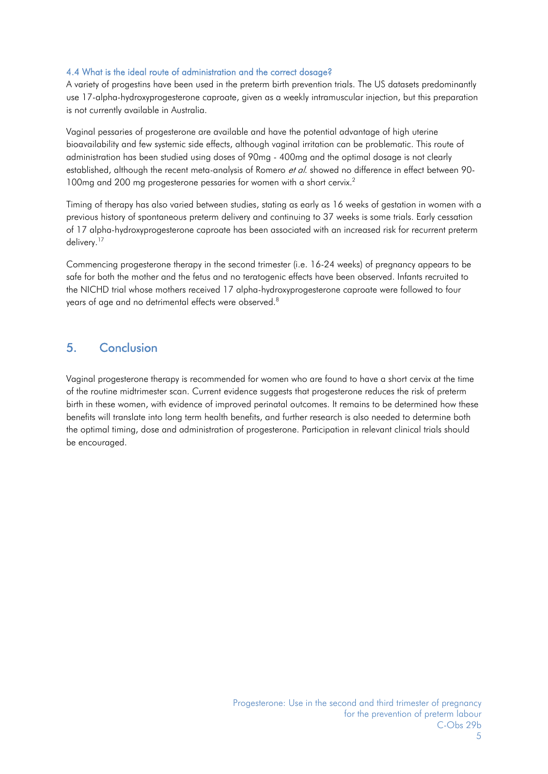#### 4.4 What is the ideal route of administration and the correct dosage?

A variety of progestins have been used in the preterm birth prevention trials. The US datasets predominantly use 17-alpha-hydroxyprogesterone caproate, given as a weekly intramuscular injection, but this preparation is not currently available in Australia.

Vaginal pessaries of progesterone are available and have the potential advantage of high uterine bioavailability and few systemic side effects, although vaginal irritation can be problematic. This route of administration has been studied using doses of 90mg - 400mg and the optimal dosage is not clearly established, although the recent meta-analysis of Romero *et al*. showed no difference in effect between 90-100mg and 200 mg progesterone pessaries for women with a short cervix.<sup>2</sup>

Timing of therapy has also varied between studies, stating as early as 16 weeks of gestation in women with a previous history of spontaneous preterm delivery and continuing to 37 weeks is some trials. Early cessation of 17 alpha-hydroxyprogesterone caproate has been associated with an increased risk for recurrent preterm delivery.<sup>17</sup>

Commencing progesterone therapy in the second trimester (i.e. 16-24 weeks) of pregnancy appears to be safe for both the mother and the fetus and no teratogenic effects have been observed. Infants recruited to the NICHD trial whose mothers received 17 alpha-hydroxyprogesterone caproate were followed to four years of age and no detrimental effects were observed.<sup>8</sup>

## 5. Conclusion

Vaginal progesterone therapy is recommended for women who are found to have a short cervix at the time of the routine midtrimester scan. Current evidence suggests that progesterone reduces the risk of preterm birth in these women, with evidence of improved perinatal outcomes. It remains to be determined how these benefits will translate into long term health benefits, and further research is also needed to determine both the optimal timing, dose and administration of progesterone. Participation in relevant clinical trials should be encouraged.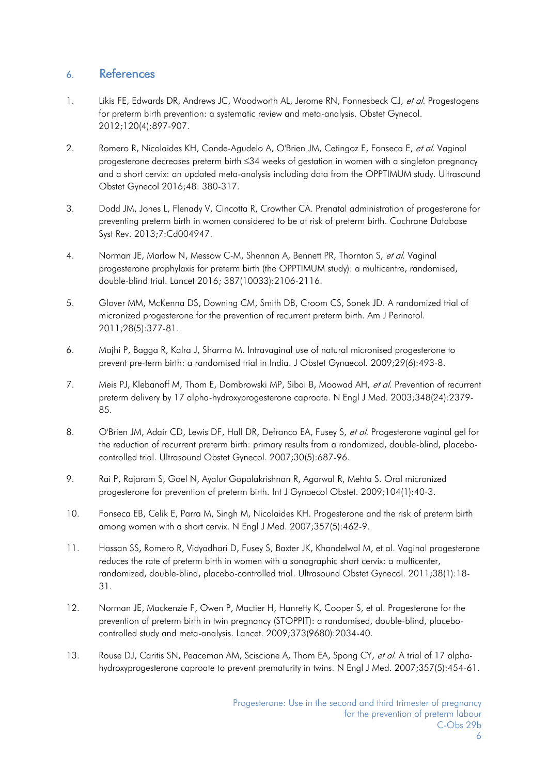### 6. References

- 1. Likis FE, Edwards DR, Andrews JC, Woodworth AL, Jerome RN, Fonnesbeck CJ, et al. Progestogens for preterm birth prevention: a systematic review and meta-analysis. Obstet Gynecol. 2012;120(4):897-907.
- 2. Romero R, Nicolaides KH, Conde-Agudelo A, O'Brien JM, Cetingoz E, Fonseca E, et al. Vaginal progesterone decreases preterm birth 34 weeks of gestation in women with a singleton pregnancy and a short cervix: an updated meta-analysis including data from the OPPTIMUM study. Ultrasound Obstet Gynecol 2016;48: 380-317.
- 3. Dodd JM, Jones L, Flenady V, Cincotta R, Crowther CA. Prenatal administration of progesterone for preventing preterm birth in women considered to be at risk of preterm birth. Cochrane Database Syst Rev. 2013;7:Cd004947.
- 4. Norman JE, Marlow N, Messow C-M, Shennan A, Bennett PR, Thornton S, et al. Vaginal progesterone prophylaxis for preterm birth (the OPPTIMUM study): a multicentre, randomised, double-blind trial. Lancet 2016; 387(10033):2106-2116.
- 5. Glover MM, McKenna DS, Downing CM, Smith DB, Croom CS, Sonek JD. A randomized trial of micronized progesterone for the prevention of recurrent preterm birth. Am J Perinatol. 2011;28(5):377-81.
- 6. Majhi P, Bagga R, Kalra J, Sharma M. Intravaginal use of natural micronised progesterone to prevent pre-term birth: a randomised trial in India. J Obstet Gynaecol. 2009;29(6):493-8.
- 7. Meis PJ, Klebanoff M, Thom E, Dombrowski MP, Sibai B, Moawad AH, et al. Prevention of recurrent preterm delivery by 17 alpha-hydroxyprogesterone caproate. N Engl J Med. 2003;348(24):2379- 85.
- 8. O'Brien JM, Adair CD, Lewis DF, Hall DR, Defranco EA, Fusey S, et al. Progesterone vaginal gel for the reduction of recurrent preterm birth: primary results from a randomized, double-blind, placebocontrolled trial. Ultrasound Obstet Gynecol. 2007;30(5):687-96.
- 9. Rai P, Rajaram S, Goel N, Ayalur Gopalakrishnan R, Agarwal R, Mehta S. Oral micronized progesterone for prevention of preterm birth. Int J Gynaecol Obstet. 2009;104(1):40-3.
- 10. Fonseca EB, Celik E, Parra M, Singh M, Nicolaides KH. Progesterone and the risk of preterm birth among women with a short cervix. N Engl J Med. 2007;357(5):462-9.
- 11. Hassan SS, Romero R, Vidyadhari D, Fusey S, Baxter JK, Khandelwal M, et al. Vaginal progesterone reduces the rate of preterm birth in women with a sonographic short cervix: a multicenter, randomized, double-blind, placebo-controlled trial. Ultrasound Obstet Gynecol. 2011;38(1):18- 31.
- 12. Norman JE, Mackenzie F, Owen P, Mactier H, Hanretty K, Cooper S, et al. Progesterone for the prevention of preterm birth in twin pregnancy (STOPPIT): a randomised, double-blind, placebocontrolled study and meta-analysis. Lancet. 2009;373(9680):2034-40.
- 13. Rouse DJ, Caritis SN, Peaceman AM, Sciscione A, Thom EA, Spong CY, et al. A trial of 17 alphahydroxyprogesterone caproate to prevent prematurity in twins. N Engl J Med. 2007;357(5):454-61.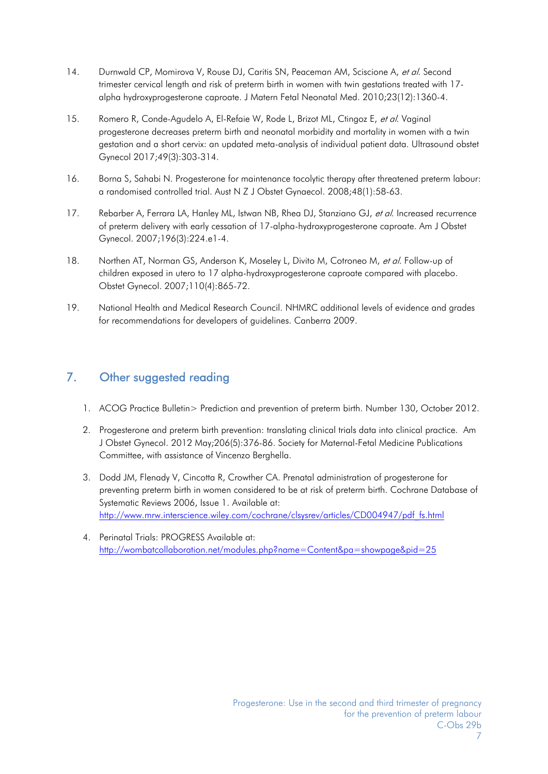- 14. Durnwald CP, Momirova V, Rouse DJ, Caritis SN, Peaceman AM, Sciscione A, et al. Second trimester cervical length and risk of preterm birth in women with twin gestations treated with 17 alpha hydroxyprogesterone caproate. J Matern Fetal Neonatal Med. 2010;23(12):1360-4.
- 15. Romero R, Conde-Agudelo A, El-Refaie W, Rode L, Brizot ML, Ctingoz E, et al. Vaginal progesterone decreases preterm birth and neonatal morbidity and mortality in women with a twin gestation and a short cervix: an updated meta-analysis of individual patient data. Ultrasound obstet Gynecol 2017;49(3):303-314.
- 16. Borna S, Sahabi N. Progesterone for maintenance tocolytic therapy after threatened preterm labour: a randomised controlled trial. Aust N Z J Obstet Gynaecol. 2008;48(1):58-63.
- 17. Rebarber A, Ferrara LA, Hanley ML, Istwan NB, Rhea DJ, Stanziano GJ, et al. Increased recurrence of preterm delivery with early cessation of 17-alpha-hydroxyprogesterone caproate. Am J Obstet Gynecol. 2007;196(3):224.e1-4.
- 18. Northen AT, Norman GS, Anderson K, Moseley L, Divito M, Cotroneo M, et al. Follow-up of children exposed in utero to 17 alpha-hydroxyprogesterone caproate compared with placebo. Obstet Gynecol. 2007;110(4):865-72.
- 19. National Health and Medical Research Council. NHMRC additional levels of evidence and grades for recommendations for developers of guidelines. Canberra 2009.

# 7. Other suggested reading

- 1. ACOG Practice Bulletin> Prediction and prevention of preterm birth. Number 130, October 2012.
- 2. Progesterone and preterm birth prevention: translating clinical trials data into clinical practice. Am J Obstet Gynecol. 2012 May;206(5):376-86. Society for Maternal-Fetal Medicine Publications Committee, with assistance of Vincenzo Berghella.
- 3. Dodd JM, Flenady V, Cincotta R, Crowther CA. Prenatal administration of progesterone for preventing preterm birth in women considered to be at risk of preterm birth. Cochrane Database of Systematic Reviews 2006, Issue 1. Available at: http://www.mrw.interscience.wiley.com/cochrane/clsysrev/articles/CD004947/pdf\_fs.html
- 4. Perinatal Trials: PROGRESS Available at: http://wombatcollaboration.net/modules.php?name=Content&pa=showpage&pid=25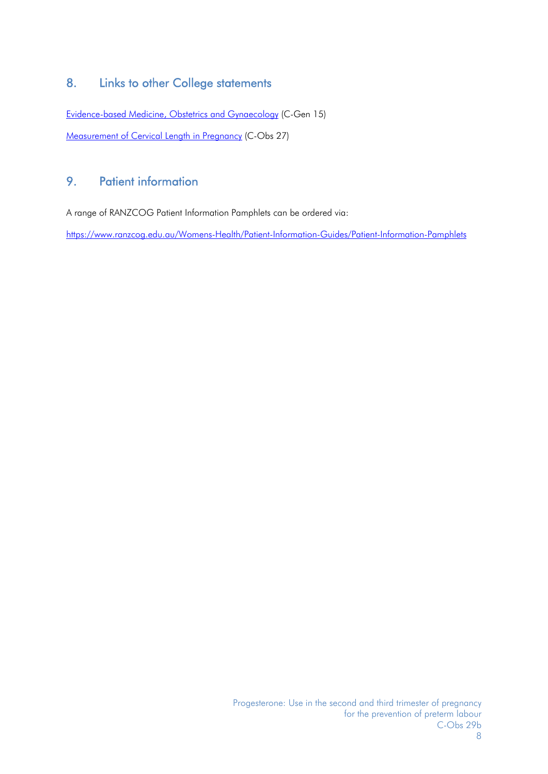# 8. Links to other College statements

Evidence-based Medicine, Obstetrics and Gynaecology (C-Gen 15) Measurement of Cervical Length in Pregnancy (C-Obs 27)

# 9. Patient information

A range of RANZCOG Patient Information Pamphlets can be ordered via:

https://www.ranzcog.edu.au/Womens-Health/Patient-Information-Guides/Patient-Information-Pamphlets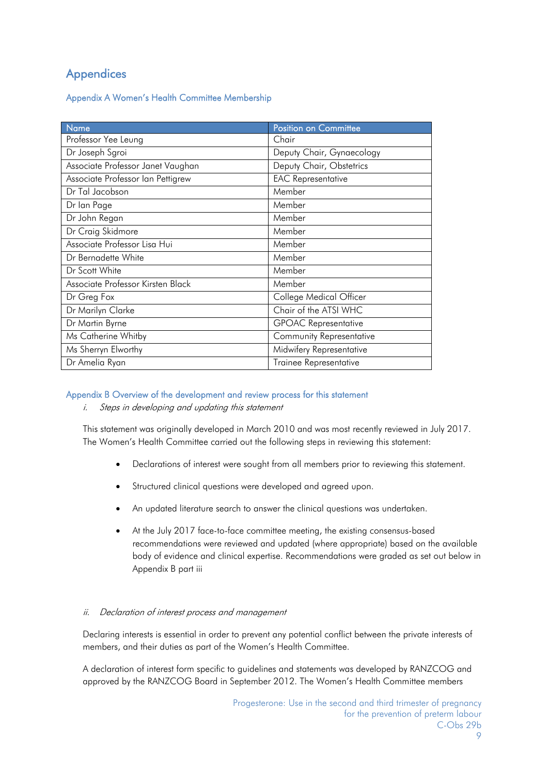# **Appendices**

Appendix A Women's Health Committee Membership

| <b>Name</b>                       | Position on Committee       |
|-----------------------------------|-----------------------------|
| Professor Yee Leung               | Chair                       |
| Dr Joseph Sgroi                   | Deputy Chair, Gynaecology   |
| Associate Professor Janet Vaughan | Deputy Chair, Obstetrics    |
| Associate Professor Ian Pettigrew | <b>EAC Representative</b>   |
| Dr Tal Jacobson                   | Member                      |
| Dr lan Page                       | Member                      |
| Dr John Regan                     | Member                      |
| Dr Craig Skidmore                 | Member                      |
| Associate Professor Lisa Hui      | Member                      |
| Dr Bernadette White               | Member                      |
| Dr Scott White                    | Member                      |
| Associate Professor Kirsten Black | Member                      |
| Dr Greg Fox                       | College Medical Officer     |
| Dr Marilyn Clarke                 | Chair of the ATSI WHC       |
| Dr Martin Byrne                   | <b>GPOAC Representative</b> |
| Ms Catherine Whitby               | Community Representative    |
| Ms Sherryn Elworthy               | Midwifery Representative    |
| Dr Amelia Ryan                    | Trainee Representative      |

#### Appendix B Overview of the development and review process for this statement

i. Steps in developing and updating this statement

This statement was originally developed in March 2010 and was most recently reviewed in July 2017. The Women's Health Committee carried out the following steps in reviewing this statement:

- Declarations of interest were sought from all members prior to reviewing this statement.
- Structured clinical questions were developed and agreed upon.
- An updated literature search to answer the clinical questions was undertaken.
- At the July 2017 face-to-face committee meeting, the existing consensus-based recommendations were reviewed and updated (where appropriate) based on the available body of evidence and clinical expertise. Recommendations were graded as set out below in Appendix B part iii

#### ii. Declaration of interest process and management

Declaring interests is essential in order to prevent any potential conflict between the private interests of members, and their duties as part of the Women's Health Committee.

A declaration of interest form specific to guidelines and statements was developed by RANZCOG and approved by the RANZCOG Board in September 2012. The Women's Health Committee members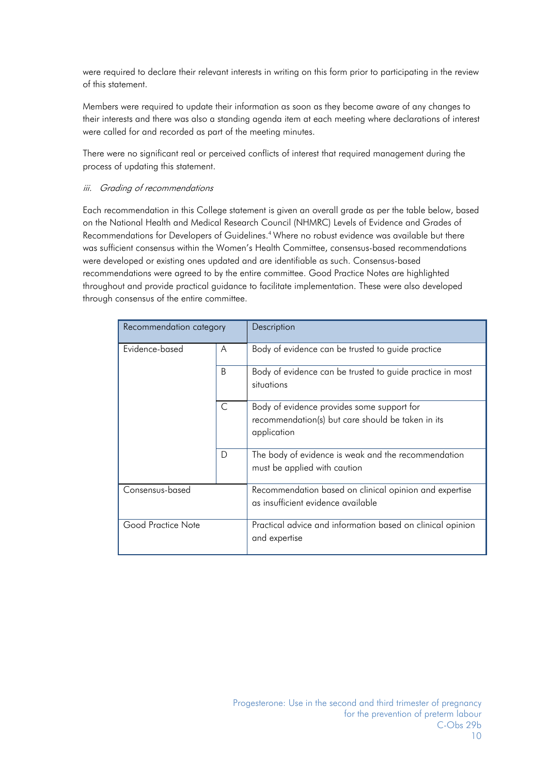were required to declare their relevant interests in writing on this form prior to participating in the review of this statement.

Members were required to update their information as soon as they become aware of any changes to their interests and there was also a standing agenda item at each meeting where declarations of interest were called for and recorded as part of the meeting minutes.

There were no significant real or perceived conflicts of interest that required management during the process of updating this statement.

#### iii. Grading of recommendations

Each recommendation in this College statement is given an overall grade as per the table below, based on the National Health and Medical Research Council (NHMRC) Levels of Evidence and Grades of Recommendations for Developers of Guidelines.4 Where no robust evidence was available but there was sufficient consensus within the Women's Health Committee, consensus-based recommendations were developed or existing ones updated and are identifiable as such. Consensus-based recommendations were agreed to by the entire committee. Good Practice Notes are highlighted throughout and provide practical guidance to facilitate implementation. These were also developed through consensus of the entire committee.

| Recommendation category |              | Description                                                                                                    |
|-------------------------|--------------|----------------------------------------------------------------------------------------------------------------|
| Evidence-based          | A            | Body of evidence can be trusted to guide practice                                                              |
|                         | <sub>B</sub> | Body of evidence can be trusted to guide practice in most<br>situations                                        |
|                         | C            | Body of evidence provides some support for<br>recommendation(s) but care should be taken in its<br>application |
|                         | D            | The body of evidence is weak and the recommendation<br>must be applied with caution                            |
| Consensus-based         |              | Recommendation based on clinical opinion and expertise<br>as insufficient evidence available                   |
| Good Practice Note      |              | Practical advice and information based on clinical opinion<br>and expertise                                    |